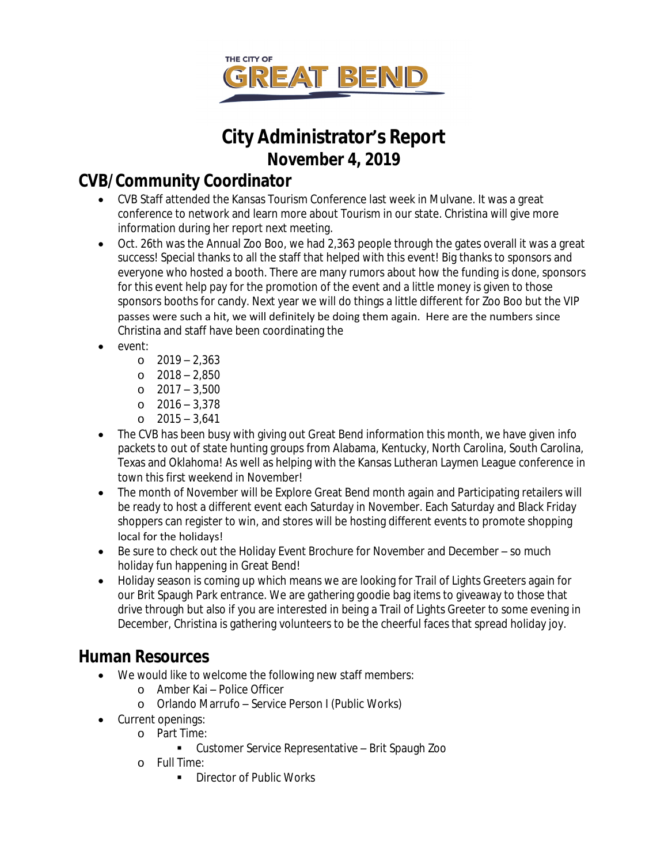

# **City Administrator's Report November 4, 2019**

## **CVB/Community Coordinator**

- CVB Staff attended the Kansas Tourism Conference last week in Mulvane. It was a great conference to network and learn more about Tourism in our state. Christina will give more information during her report next meeting.
- Oct. 26th was the Annual Zoo Boo, we had 2,363 people through the gates overall it was a great success! Special thanks to all the staff that helped with this event! Big thanks to sponsors and everyone who hosted a booth. There are many rumors about how the funding is done, sponsors for this event help pay for the promotion of the event and a little money is given to those sponsors booths for candy. Next year we will do things a little different for Zoo Boo but the VIP passes were such a hit, we will definitely be doing them again. Here are the numbers since Christina and staff have been coordinating the
- event:
	- o 2019 2,363
	- o 2018 2,850
	- o 2017 3,500
	- o 2016 3,378
	- o 2015 3,641
- The CVB has been busy with giving out Great Bend information this month, we have given info packets to out of state hunting groups from Alabama, Kentucky, North Carolina, South Carolina, Texas and Oklahoma! As well as helping with the Kansas Lutheran Laymen League conference in town this first weekend in November!
- The month of November will be Explore Great Bend month again and Participating retailers will be ready to host a different event each Saturday in November. Each Saturday and Black Friday shoppers can register to win, and stores will be hosting different events to promote shopping local for the holidays!
- Be sure to check out the Holiday Event Brochure for November and December so much holiday fun happening in Great Bend!
- Holiday season is coming up which means we are looking for Trail of Lights Greeters again for our Brit Spaugh Park entrance. We are gathering goodie bag items to giveaway to those that drive through but also if you are interested in being a Trail of Lights Greeter to some evening in December, Christina is gathering volunteers to be the cheerful faces that spread holiday joy.

### **Human Resources**

- We would like to welcome the following new staff members:
	- o Amber Kai Police Officer
	- o Orlando Marrufo Service Person I (Public Works)
- Current openings:
	- o Part Time:
		- Customer Service Representative Brit Spaugh Zoo
		- o Full Time:
			- **Director of Public Works**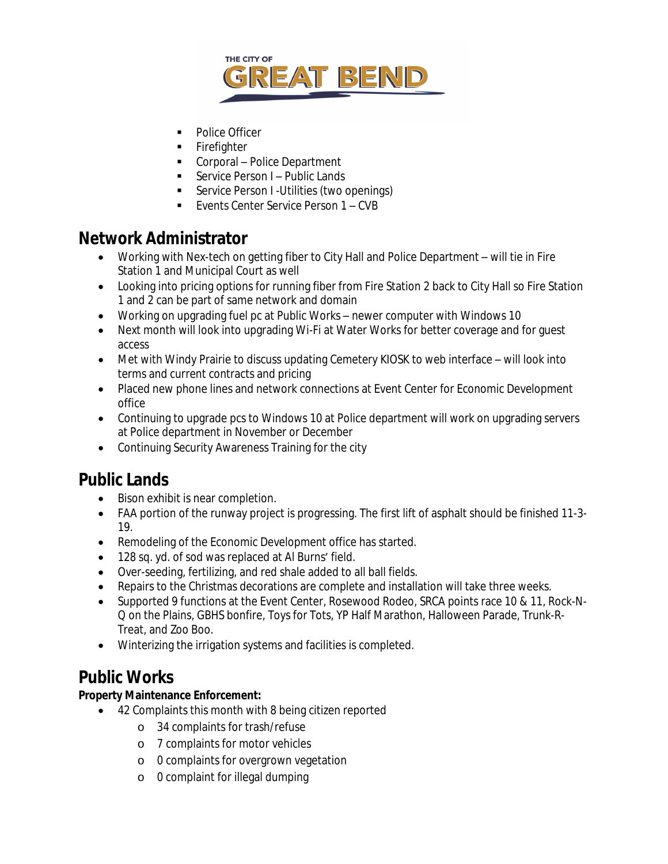

- Police Officer
- Firefighter
- Corporal Police Department
- Service Person I Public Lands
- **Service Person I -Utilities (two openings)**
- Events Center Service Person 1 CVB

### **Network Administrator**

- Working with Nex-tech on getting fiber to City Hall and Police Department will tie in Fire Station 1 and Municipal Court as well
- Looking into pricing options for running fiber from Fire Station 2 back to City Hall so Fire Station 1 and 2 can be part of same network and domain
- Working on upgrading fuel pc at Public Works newer computer with Windows 10
- Next month will look into upgrading Wi-Fi at Water Works for better coverage and for quest access
- Met with Windy Prairie to discuss updating Cemetery KIOSK to web interface will look into terms and current contracts and pricing
- Placed new phone lines and network connections at Event Center for Economic Development office
- Continuing to upgrade pcs to Windows 10 at Police department will work on upgrading servers at Police department in November or December
- Continuing Security Awareness Training for the city

### **Public Lands**

- Bison exhibit is near completion.
- FAA portion of the runway project is progressing. The first lift of asphalt should be finished 11-3- 19.
- Remodeling of the Economic Development office has started.
- 128 sq. yd. of sod was replaced at Al Burns' field.
- Over-seeding, fertilizing, and red shale added to all ball fields.
- Repairs to the Christmas decorations are complete and installation will take three weeks.
- Supported 9 functions at the Event Center, Rosewood Rodeo, SRCA points race 10 & 11, Rock-N-Q on the Plains, GBHS bonfire, Toys for Tots, YP Half Marathon, Halloween Parade, Trunk-R-Treat, and Zoo Boo.
- Winterizing the irrigation systems and facilities is completed.

### **Public Works**

#### **Property Maintenance Enforcement:**

- 42 Complaints this month with 8 being citizen reported
	- o 34 complaints for trash/refuse
	- o 7 complaints for motor vehicles
	- o 0 complaints for overgrown vegetation
	- o 0 complaint for illegal dumping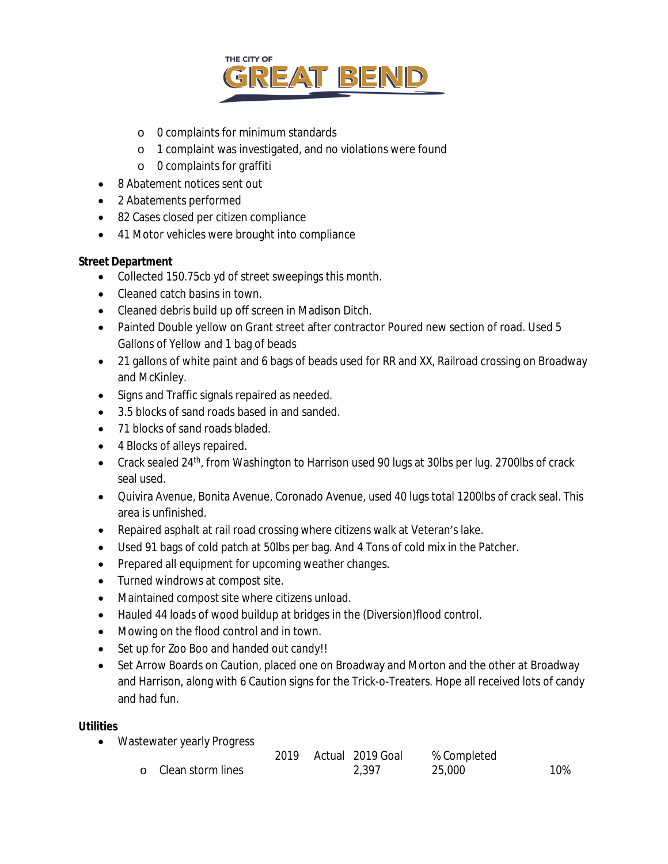

- o 0 complaints for minimum standards
- o 1 complaint was investigated, and no violations were found
- o 0 complaints for graffiti
- 8 Abatement notices sent out
- 2 Abatements performed
- 82 Cases closed per citizen compliance
- 41 Motor vehicles were brought into compliance

#### **Street Department**

- Collected 150.75cb yd of street sweepings this month.
- Cleaned catch basins in town.
- Cleaned debris build up off screen in Madison Ditch.
- Painted Double yellow on Grant street after contractor Poured new section of road. Used 5 Gallons of Yellow and 1 bag of beads
- 21 gallons of white paint and 6 bags of beads used for RR and XX, Railroad crossing on Broadway and McKinley.
- Signs and Traffic signals repaired as needed.
- 3.5 blocks of sand roads based in and sanded.
- 71 blocks of sand roads bladed.
- 4 Blocks of alleys repaired.
- Crack sealed 24<sup>th</sup>, from Washington to Harrison used 90 lugs at 30lbs per lug. 2700lbs of crack seal used.
- Quivira Avenue, Bonita Avenue, Coronado Avenue, used 40 lugs total 1200lbs of crack seal. This area is unfinished.
- Repaired asphalt at rail road crossing where citizens walk at Veteran's lake.
- Used 91 bags of cold patch at 50lbs per bag. And 4 Tons of cold mix in the Patcher.
- Prepared all equipment for upcoming weather changes.
- Turned windrows at compost site.
- Maintained compost site where citizens unload.
- Hauled 44 loads of wood buildup at bridges in the (Diversion)flood control.
- Mowing on the flood control and in town.
- Set up for Zoo Boo and handed out candy!!
- Set Arrow Boards on Caution, placed one on Broadway and Morton and the other at Broadway and Harrison, along with 6 Caution signs for the Trick-o-Treaters. Hope all received lots of candy and had fun.

#### **Utilities**

• Wastewater yearly Progress

|                     |  | 2019 Actual 2019 Goal | % Completed |     |
|---------------------|--|-----------------------|-------------|-----|
| o Clean storm lines |  | 2.397                 | 25,000      | 10% |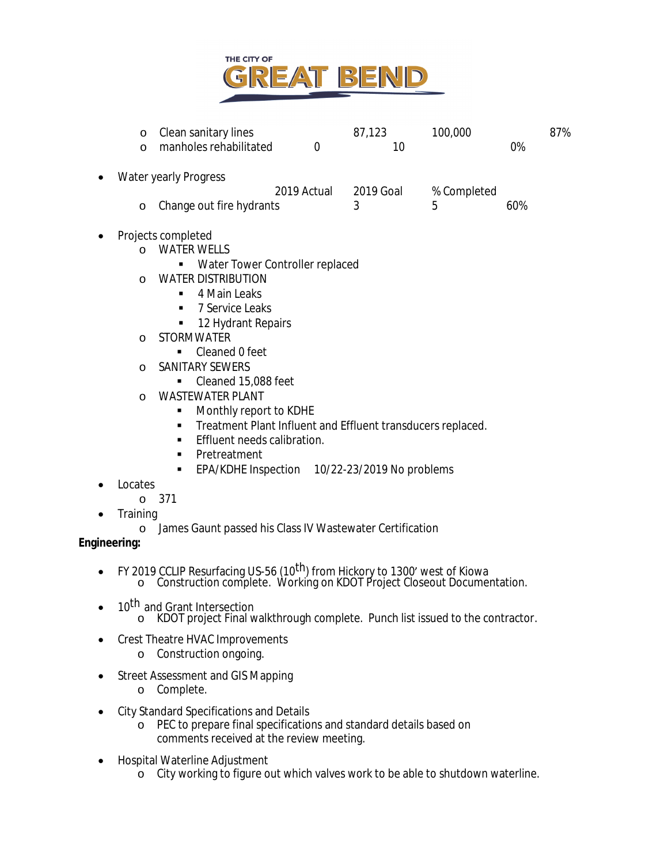

| $\circ$<br>$\circ$                                               | Clean sanitary lines<br>manholes rehabilitated                                                                                                                                                                                                                                                                                                                                                                                                                                                                                | $\overline{0}$ | 87,123<br>10 | 100,000     | 87%<br>0% |  |
|------------------------------------------------------------------|-------------------------------------------------------------------------------------------------------------------------------------------------------------------------------------------------------------------------------------------------------------------------------------------------------------------------------------------------------------------------------------------------------------------------------------------------------------------------------------------------------------------------------|----------------|--------------|-------------|-----------|--|
| $\bullet$                                                        | <b>Water yearly Progress</b>                                                                                                                                                                                                                                                                                                                                                                                                                                                                                                  | 2019 Actual    | 2019 Goal    | % Completed |           |  |
| $\circ$                                                          | Change out fire hydrants                                                                                                                                                                                                                                                                                                                                                                                                                                                                                                      |                | 3            | 5           | 60%       |  |
| $\Omega$<br>$\Omega$<br>$\circ$<br>$\circ$<br>$\circ$<br>Locates | Projects completed<br><b>WATER WELLS</b><br>Water Tower Controller replaced<br>٠<br><b>WATER DISTRIBUTION</b><br>4 Main Leaks<br>٠<br>7 Service Leaks<br>٠<br>12 Hydrant Repairs<br>٠<br><b>STORMWATER</b><br>Cleaned 0 feet<br>٠<br>SANITARY SEWERS<br>Cleaned 15,088 feet<br>٠<br><b>WASTEWATER PLANT</b><br>Monthly report to KDHE<br>٠<br>Treatment Plant Influent and Effluent transducers replaced.<br>٠<br>Effluent needs calibration.<br>٠<br>Pretreatment<br>٠<br>EPA/KDHE Inspection 10/22-23/2019 No problems<br>٠ |                |              |             |           |  |
| $\circ$<br>Training<br>$\circ$<br>Engineering:                   | 371<br>James Gaunt passed his Class IV Wastewater Certification                                                                                                                                                                                                                                                                                                                                                                                                                                                               |                |              |             |           |  |
|                                                                  |                                                                                                                                                                                                                                                                                                                                                                                                                                                                                                                               |                |              |             |           |  |

- FY 2019 CCLIP Resurfacing US-56 (10<sup>th</sup>) from Hickory to 1300' west of Kiowa o Construction complete. Working on KDOT Project Closeout Documentation.
- 10<sup>th</sup> and Grant Intersection o KDOT project Final walkthrough complete. Punch list issued to the contractor.
- Crest Theatre HVAC Improvements
	- o Construction ongoing.
- Street Assessment and GIS Mapping
	- o Complete.
- City Standard Specifications and Details
	- o PEC to prepare final specifications and standard details based on comments received at the review meeting.
- Hospital Waterline Adjustment
	- o City working to figure out which valves work to be able to shutdown waterline.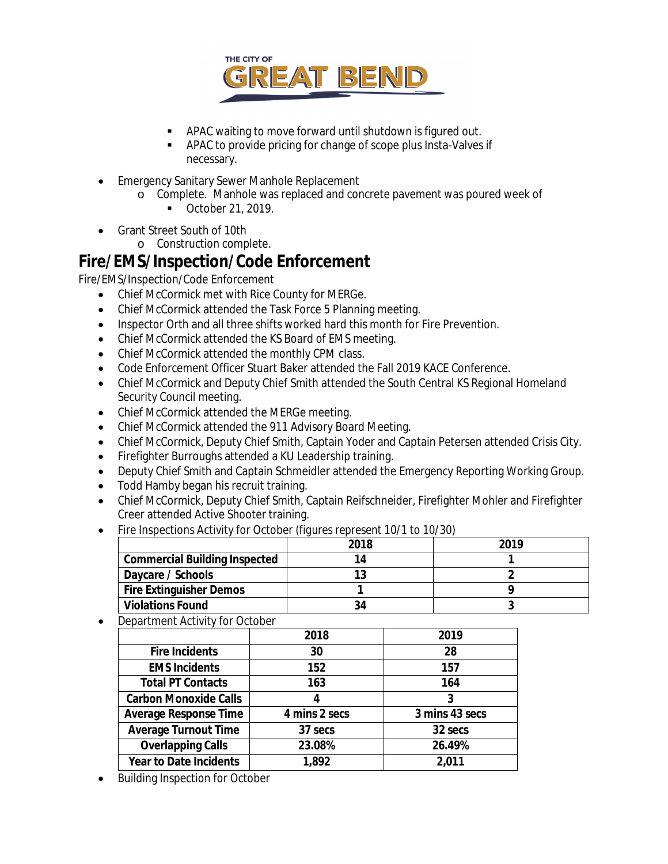

- APAC waiting to move forward until shutdown is figured out.
- APAC to provide pricing for change of scope plus Insta-Valves if necessary.
- Emergency Sanitary Sewer Manhole Replacement
	- o Complete. Manhole was replaced and concrete pavement was poured week of
		- October 21, 2019.
- Grant Street South of 10th
	- o Construction complete.

### **Fire/EMS/Inspection/Code Enforcement**

Fire/EMS/Inspection/Code Enforcement

- Chief McCormick met with Rice County for MERGe.
- Chief McCormick attended the Task Force 5 Planning meeting.
- Inspector Orth and all three shifts worked hard this month for Fire Prevention.
- Chief McCormick attended the KS Board of EMS meeting.
- Chief McCormick attended the monthly CPM class.
- Code Enforcement Officer Stuart Baker attended the Fall 2019 KACE Conference.
- Chief McCormick and Deputy Chief Smith attended the South Central KS Regional Homeland Security Council meeting.
- Chief McCormick attended the MERGe meeting.
- Chief McCormick attended the 911 Advisory Board Meeting.
- Chief McCormick, Deputy Chief Smith, Captain Yoder and Captain Petersen attended Crisis City.
- Firefighter Burroughs attended a KU Leadership training.
- Deputy Chief Smith and Captain Schmeidler attended the Emergency Reporting Working Group.
- Todd Hamby began his recruit training.
- Chief McCormick, Deputy Chief Smith, Captain Reifschneider, Firefighter Mohler and Firefighter Creer attended Active Shooter training.
- Fire Inspections Activity for October *(figures represent 10/1 to 10/30)*

|                                      | 2018 | 2019 |  |  |
|--------------------------------------|------|------|--|--|
| <b>Commercial Building Inspected</b> | 14   |      |  |  |
| Daycare / Schools                    |      |      |  |  |
| <b>Fire Extinguisher Demos</b>       |      |      |  |  |
| <b>Violations Found</b>              | 34   |      |  |  |

Department Activity for October

|                               | 2018          | 2019           |
|-------------------------------|---------------|----------------|
| <b>Fire Incidents</b>         | 30            | 28             |
| <b>EMS Incidents</b>          | 152           | 157            |
| <b>Total PT Contacts</b>      | 163           | 164            |
| <b>Carbon Monoxide Calls</b>  |               | 3              |
| <b>Average Response Time</b>  | 4 mins 2 secs | 3 mins 43 secs |
| <b>Average Turnout Time</b>   | 37 secs       | 32 secs        |
| <b>Overlapping Calls</b>      | 23.08%        | 26.49%         |
| <b>Year to Date Incidents</b> | 1,892         | 2,011          |

Building Inspection for October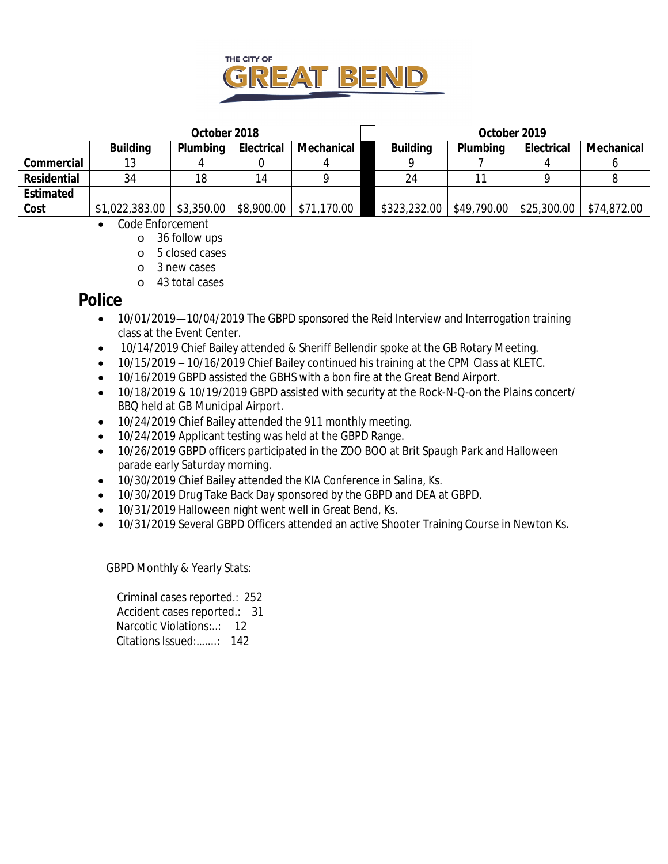

|                  |                 | October 2018    |                   |             | October 2019    |             |                   |             |  |
|------------------|-----------------|-----------------|-------------------|-------------|-----------------|-------------|-------------------|-------------|--|
|                  | <b>Building</b> | <b>Plumbing</b> | <b>Electrical</b> | Mechanical  | <b>Building</b> | Plumbing    | <b>Electrical</b> | Mechanical  |  |
| Commercial       | 13              |                 |                   |             |                 |             |                   |             |  |
| Residential      | 34              | 18              | 14                |             | 24              |             |                   |             |  |
| <b>Estimated</b> |                 |                 |                   |             |                 |             |                   |             |  |
| Cost             | \$1,022,383.00  | \$3,350.00      | \$8,900.00        | \$71,170.00 | \$323,232.00    | \$49,790.00 | \$25,300.00       | \$74,872.00 |  |

- Code Enforcement
	- o 36 follow ups
	- o 5 closed cases
	- o 3 new cases
	- o 43 total cases

### **Police**

- 10/01/2019—10/04/2019 The GBPD sponsored the Reid Interview and Interrogation training class at the Event Center.
- 10/14/2019 Chief Bailey attended & Sheriff Bellendir spoke at the GB Rotary Meeting.
- 10/15/2019 10/16/2019 Chief Bailey continued his training at the CPM Class at KLETC.
- 10/16/2019 GBPD assisted the GBHS with a bon fire at the Great Bend Airport.
- 10/18/2019 & 10/19/2019 GBPD assisted with security at the Rock-N-Q-on the Plains concert/ BBQ held at GB Municipal Airport.
- 10/24/2019 Chief Bailey attended the 911 monthly meeting.
- 10/24/2019 Applicant testing was held at the GBPD Range.
- 10/26/2019 GBPD officers participated in the ZOO BOO at Brit Spaugh Park and Halloween parade early Saturday morning.
- 10/30/2019 Chief Bailey attended the KIA Conference in Salina, Ks.
- 10/30/2019 Drug Take Back Day sponsored by the GBPD and DEA at GBPD.
- 10/31/2019 Halloween night went well in Great Bend, Ks.
- 10/31/2019 Several GBPD Officers attended an active Shooter Training Course in Newton Ks.

GBPD Monthly & Yearly Stats:

 Criminal cases reported.: 252 Accident cases reported.: 31 Narcotic Violations:..: 12 Citations Issued:…....: 142